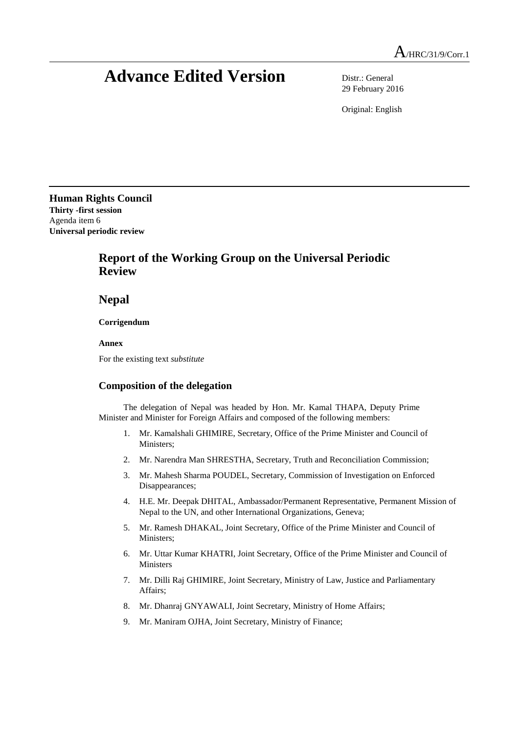## **Advance Edited Version** Distr.: General

29 February 2016

Original: English

**Human Rights Council Thirty -first session** Agenda item 6 **Universal periodic review**

## **Report of the Working Group on the Universal Periodic Review**

**Nepal**

**Corrigendum**

**Annex**

For the existing text *substitute*

## **Composition of the delegation**

The delegation of Nepal was headed by Hon. Mr. Kamal THAPA, Deputy Prime Minister and Minister for Foreign Affairs and composed of the following members:

- 1. Mr. Kamalshali GHIMIRE, Secretary, Office of the Prime Minister and Council of Ministers;
- 2. Mr. Narendra Man SHRESTHA, Secretary, Truth and Reconciliation Commission;
- 3. Mr. Mahesh Sharma POUDEL, Secretary, Commission of Investigation on Enforced Disappearances;
- 4. H.E. Mr. Deepak DHITAL, Ambassador/Permanent Representative, Permanent Mission of Nepal to the UN, and other International Organizations, Geneva;
- 5. Mr. Ramesh DHAKAL, Joint Secretary, Office of the Prime Minister and Council of Ministers;
- 6. Mr. Uttar Kumar KHATRI, Joint Secretary, Office of the Prime Minister and Council of Ministers
- 7. Mr. Dilli Raj GHIMIRE, Joint Secretary, Ministry of Law, Justice and Parliamentary Affairs;
- 8. Mr. Dhanraj GNYAWALI, Joint Secretary, Ministry of Home Affairs;
- 9. Mr. Maniram OJHA, Joint Secretary, Ministry of Finance;